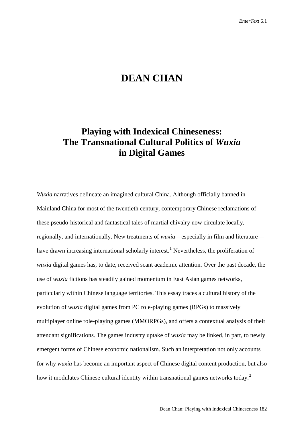# **DEAN CHAN**

## **Playing with Indexical Chineseness: The Transnational Cultural Politics of** *Wuxia* **in Digital Games**

*Wuxia* narratives delineate an imagined cultural China. Although officially banned in Mainland China for most of the twentieth century, contemporary Chinese reclamations of these pseudo-historical and fantastical tales of martial chivalry now circulate locally, regionally, and internationally. New treatments of *wuxia*—especially in film and literature— have drawn increasing international scholarly interest.<sup>[1](#page-17-0)</sup> Nevertheless, the proliferation of *wuxia* digital games has, to date, received scant academic attention. Over the past decade, the use of *wuxia* fictions has steadily gained momentum in East Asian games networks, particularly within Chinese language territories. This essay traces a cultural history of the evolution of *wuxia* digital games from PC role-playing games (RPGs) to massively multiplayer online role-playing games (MMORPGs), and offers a contextual analysis of their attendant significations. The games industry uptake of *wuxia* may be linked, in part, to newly emergent forms of Chinese economic nationalism. Such an interpretation not only accounts for why *wuxia* has become an important aspect of Chinese digital content production, but also how it modulates Chinese cultural identity within transnational games networks today.<sup>[2](#page-17-1)</sup>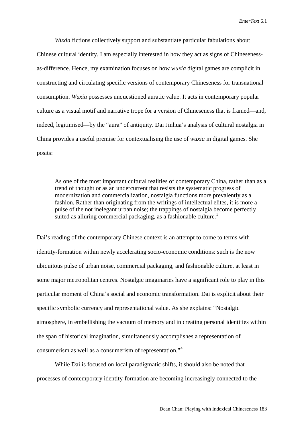*Wuxia* fictions collectively support and substantiate particular fabulations about Chinese cultural identity. I am especially interested in how they act as signs of Chinesenessas-difference. Hence, my examination focuses on how *wuxia* digital games are complicit in constructing and circulating specific versions of contemporary Chineseness for transnational consumption. *Wuxia* possesses unquestioned auratic value. It acts in contemporary popular culture as a visual motif and narrative trope for a version of Chineseness that is framed—and, indeed, legitimised—by the "aura" of antiquity. Dai Jinhua's analysis of cultural nostalgia in China provides a useful premise for contextualising the use of *wuxia* in digital games. She posits:

As one of the most important cultural realities of contemporary China, rather than as a trend of thought or as an undercurrent that resists the systematic progress of modernization and commercialization, nostalgia functions more prevalently as a fashion. Rather than originating from the writings of intellectual elites, it is more a pulse of the not inelegant urban noise; the trappings of nostalgia become perfectly suited as alluring commercial packaging, as a fashionable culture.<sup>[3](#page-18-0)</sup>

Dai's reading of the contemporary Chinese context is an attempt to come to terms with identity-formation within newly accelerating socio-economic conditions: such is the now ubiquitous pulse of urban noise, commercial packaging, and fashionable culture, at least in some major metropolitan centres. Nostalgic imaginaries have a significant role to play in this particular moment of China's social and economic transformation. Dai is explicit about their specific symbolic currency and representational value. As she explains: "Nostalgic atmosphere, in embellishing the vacuum of memory and in creating personal identities within the span of historical imagination, simultaneously accomplishes a representation of consumerism as well as a consumerism of representation."[4](#page-18-1)

While Dai is focused on local paradigmatic shifts, it should also be noted that processes of contemporary identity-formation are becoming increasingly connected to the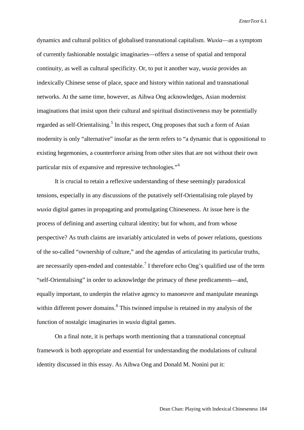dynamics and cultural politics of globalised transnational capitalism. *Wuxia*—as a symptom of currently fashionable nostalgic imaginaries—offers a sense of spatial and temporal continuity, as well as cultural specificity. Or, to put it another way, *wuxia* provides an indexically Chinese sense of place, space and history within national and transnational networks. At the same time, however, as Aihwa Ong acknowledges, Asian modernist imaginations that insist upon their cultural and spiritual distinctiveness may be potentially regarded as self-Orientalising.<sup>[5](#page-18-2)</sup> In this respect, Ong proposes that such a form of Asian modernity is only "alternative" insofar as the term refers to "a dynamic that is oppositional to existing hegemonies, a counterforce arising from other sites that are not without their own particular mix of expansive and repressive technologies."[6](#page-18-3)

It is crucial to retain a reflexive understanding of these seemingly paradoxical tensions, especially in any discussions of the putatively self-Orientalising role played by *wuxia* digital games in propagating and promulgating Chineseness. At issue here is the process of defining and asserting cultural identity; but for whom, and from whose perspective? As truth claims are invariably articulated in webs of power relations, questions of the so-called "ownership of culture," and the agendas of articulating its particular truths, are necessarily open-ended and contestable.<sup>[7](#page-18-4)</sup> I therefore echo Ong's qualified use of the term "self-Orientalising" in order to acknowledge the primacy of these predicaments—and, equally important, to underpin the relative agency to manoeuvre and manipulate meanings within different power domains.<sup>[8](#page-18-5)</sup> This twinned impulse is retained in my analysis of the function of nostalgic imaginaries in *wuxia* digital games.

On a final note, it is perhaps worth mentioning that a transnational conceptual framework is both appropriate and essential for understanding the modulations of cultural identity discussed in this essay. As Aihwa Ong and Donald M. Nonini put it: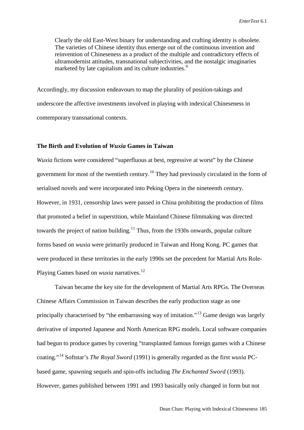Clearly the old East-West binary for understanding and crafting identity is obsolete. The varieties of Chinese identity thus emerge out of the continuous invention and reinvention of Chineseness as a product of the multiple and contradictory effects of ultramodernist attitudes, transnational subjectivities, and the nostalgic imaginaries marketed by late capitalism and its culture industries.<sup>[9](#page-18-6)</sup>

Accordingly, my discussion endeavours to map the plurality of position-takings and underscore the affective investments involved in playing with indexical Chineseness in contemporary transnational contexts.

#### **The Birth and Evolution of** *Wuxia* **Games in Taiwan**

*Wuxia* fictions were considered "superfluous at best, regressive at worst" by the Chinese government for most of the twentieth century.<sup>[10](#page-18-7)</sup> They had previously circulated in the form of serialised novels and were incorporated into Peking Opera in the nineteenth century. However, in 1931, censorship laws were passed in China prohibiting the production of films that promoted a belief in superstition, while Mainland Chinese filmmaking was directed towards the project of nation building.<sup>[11](#page-18-8)</sup> Thus, from the 1930s onwards, popular culture forms based on *wuxia* were primarily produced in Taiwan and Hong Kong. PC games that were produced in these territories in the early 1990s set the precedent for Martial Arts Role-Playing Games based on *wuxia* narratives.<sup>[12](#page-18-9)</sup>

Taiwan became the key site for the development of Martial Arts RPGs. The Overseas Chinese Affairs Commission in Taiwan describes the early production stage as one principally characterised by "the embarrassing way of imitation."[13](#page-18-10) Game design was largely derivative of imported Japanese and North American RPG models. Local software companies had begun to produce games by covering "transplanted famous foreign games with a Chinese coating."[14](#page-18-11) Softstar's *The Royal Sword* (1991) is generally regarded as the first *wuxia* PCbased game, spawning sequels and spin-offs including *The Enchanted Sword* (1993). However, games published between 1991 and 1993 basically only changed in form but not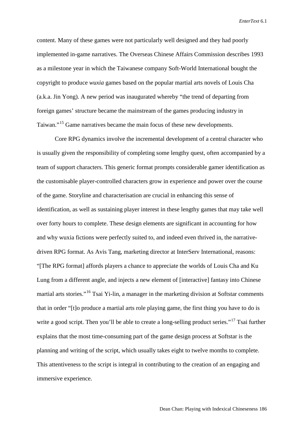content. Many of these games were not particularly well designed and they had poorly implemented in-game narratives. The Overseas Chinese Affairs Commission describes 1993 as a milestone year in which the Taiwanese company Soft-World International bought the copyright to produce *wuxia* games based on the popular martial arts novels of Louis Cha (a.k.a. Jin Yong). A new period was inaugurated whereby "the trend of departing from foreign games' structure became the mainstream of the games producing industry in Taiwan."[15](#page-18-12) Game narratives became the main focus of these new developments.

Core RPG dynamics involve the incremental development of a central character who is usually given the responsibility of completing some lengthy quest, often accompanied by a team of support characters. This generic format prompts considerable gamer identification as the customisable player-controlled characters grow in experience and power over the course of the game. Storyline and characterisation are crucial in enhancing this sense of identification, as well as sustaining player interest in these lengthy games that may take well over forty hours to complete. These design elements are significant in accounting for how and why wuxia fictions were perfectly suited to, and indeed even thrived in, the narrativedriven RPG format. As Avis Tang, marketing director at InterServ International, reasons: "[The RPG format] affords players a chance to appreciate the worlds of Louis Cha and Ku Lung from a different angle, and injects a new element of [interactive] fantasy into Chinese martial arts stories."<sup>[16](#page-18-13)</sup> Tsai Yi-lin, a manager in the marketing division at Softstar comments that in order "[t]o produce a martial arts role playing game, the first thing you have to do is write a good script. Then you'll be able to create a long-selling product series."<sup>[17](#page-18-14)</sup> Tsai further explains that the most time-consuming part of the game design process at Softstar is the planning and writing of the script, which usually takes eight to twelve months to complete. This attentiveness to the script is integral in contributing to the creation of an engaging and immersive experience.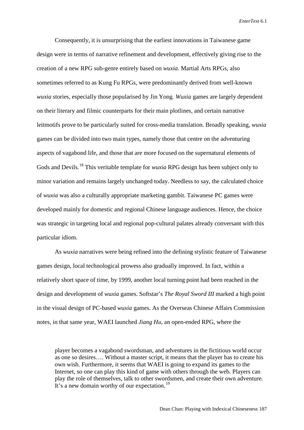Consequently, it is unsurprising that the earliest innovations in Taiwanese game design were in terms of narrative refinement and development, effectively giving rise to the creation of a new RPG sub-genre entirely based on *wuxia*. Martial Arts RPGs, also sometimes referred to as Kung Fu RPGs, were predominantly derived from well-known *wuxia* stories, especially those popularised by Jin Yong. *Wuxia* games are largely dependent on their literary and filmic counterparts for their main plotlines, and certain narrative leitmotifs prove to be particularly suited for cross-media translation. Broadly speaking, *wuxia* games can be divided into two main types, namely those that centre on the adventuring aspects of vagabond life, and those that are more focused on the supernatural elements of Gods and Devils.[18](#page-18-15) This veritable template for *wuxia* RPG design has been subject only to minor variation and remains largely unchanged today. Needless to say, the calculated choice of *wuxia* was also a culturally appropriate marketing gambit. Taiwanese PC games were developed mainly for domestic and regional Chinese language audiences. Hence, the choice was strategic in targeting local and regional pop-cultural palates already conversant with this particular idiom.

As *wuxia* narratives were being refined into the defining stylistic feature of Taiwanese games design, local technological prowess also gradually improved. In fact, within a relatively short space of time, by 1999, another local turning point had been reached in the design and development of *wuxia* games. Softstar's *The Royal Sword III* marked a high point in the visual design of PC-based *wuxia* games. As the Overseas Chinese Affairs Commission notes, in that same year, WAEI launched *Jiang Hu*, an open-ended RPG, where the

player becomes a vagabond swordsman, and adventures in the fictitious world occur as one so desires…. Without a master script, it means that the player has to create his own wish. Furthermore, it seems that WAEI is going to expand its games to the Internet, so one can play this kind of game with others through the web. Players can play the role of themselves, talk to other swordsmen, and create their own adventure. It's a new domain worthy of our expectation.<sup>[19](#page-18-16)</sup>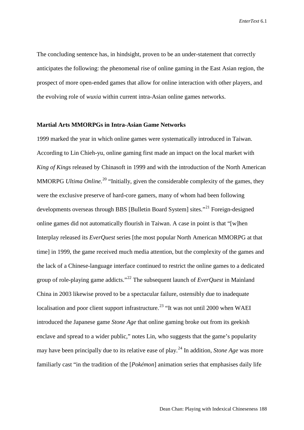The concluding sentence has, in hindsight, proven to be an under-statement that correctly anticipates the following: the phenomenal rise of online gaming in the East Asian region, the prospect of more open-ended games that allow for online interaction with other players, and the evolving role of *wuxia* within current intra-Asian online games networks.

#### **Martial Arts MMORPGs in Intra-Asian Game Networks**

1999 marked the year in which online games were systematically introduced in Taiwan. According to Lin Chieh-yu, online gaming first made an impact on the local market with *King of Kings* released by Chinasoft in 1999 and with the introduction of the North American MMORPG *Ultima Online*.<sup>[20](#page-18-17)</sup> "Initially, given the considerable complexity of the games, they were the exclusive preserve of hard-core gamers, many of whom had been following developments overseas through BBS [Bulletin Board System] sites."[21](#page-18-18) Foreign-designed online games did not automatically flourish in Taiwan. A case in point is that "[w]hen Interplay released its *EverQuest* series [the most popular North American MMORPG at that time] in 1999, the game received much media attention, but the complexity of the games and the lack of a Chinese-language interface continued to restrict the online games to a dedicated group of role-playing game addicts."[22](#page-18-19) The subsequent launch of *EverQuest* in Mainland China in 2003 likewise proved to be a spectacular failure, ostensibly due to inadequate localisation and poor client support infrastructure.<sup>[23](#page-18-20)</sup> "It was not until 2000 when WAEI introduced the Japanese game *Stone Age* that online gaming broke out from its geekish enclave and spread to a wider public," notes Lin, who suggests that the game's popularity may have been principally due to its relative ease of play.[24](#page-18-21) In addition, *Stone Age* was more familiarly cast "in the tradition of the [*Pokémon*] animation series that emphasises daily life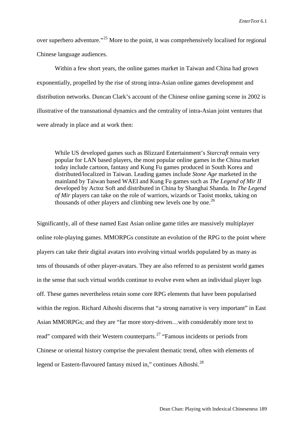over superhero adventure."<sup>[25](#page-18-22)</sup> More to the point, it was comprehensively localised for regional Chinese language audiences.

Within a few short years, the online games market in Taiwan and China had grown exponentially, propelled by the rise of strong intra-Asian online games development and distribution networks. Duncan Clark's account of the Chinese online gaming scene in 2002 is illustrative of the transnational dynamics and the centrality of intra-Asian joint ventures that were already in place and at work then:

While US developed games such as Blizzard Entertainment's *Starcraft* remain very popular for LAN based players, the most popular online games in the China market today include cartoon, fantasy and Kung Fu games produced in South Korea and distributed/localized in Taiwan. Leading games include *Stone Age* marketed in the mainland by Taiwan based WAEI and Kung Fu games such as *The Legend of Mir II* developed by Actoz Soft and distributed in China by Shanghai Shanda. In *The Legend of Mir* players can take on the role of warriors, wizards or Taoist monks, taking on thousands of other players and climbing new levels one by one.<sup>[26](#page-18-23)</sup>

Significantly, all of these named East Asian online game titles are massively multiplayer online role-playing games. MMORPGs constitute an evolution of the RPG to the point where players can take their digital avatars into evolving virtual worlds populated by as many as tens of thousands of other player-avatars. They are also referred to as persistent world games in the sense that such virtual worlds continue to evolve even when an individual player logs off. These games nevertheless retain some core RPG elements that have been popularised within the region. Richard Aihoshi discerns that "a strong narrative is very important" in East Asian MMORPGs; and they are "far more story-driven…with considerably more text to read" compared with their Western counterparts.<sup>[27](#page-18-24)</sup> "Famous incidents or periods from Chinese or oriental history comprise the prevalent thematic trend, often with elements of legend or Eastern-flavoured fantasy mixed in," continues Aihoshi.<sup>[28](#page-18-25)</sup>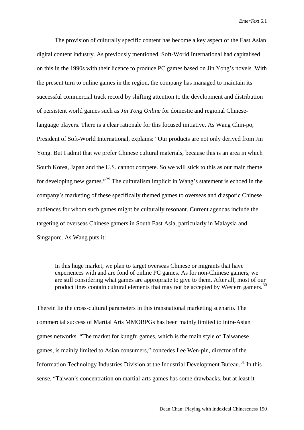The provision of culturally specific content has become a key aspect of the East Asian digital content industry. As previously mentioned, Soft-World International had capitalised on this in the 1990s with their licence to produce PC games based on Jin Yong's novels. With the present turn to online games in the region, the company has managed to maintain its successful commercial track record by shifting attention to the development and distribution of persistent world games such as *Jin Yong Online* for domestic and regional Chineselanguage players. There is a clear rationale for this focused initiative. As Wang Chin-po, President of Soft-World International, explains: "Our products are not only derived from Jin Yong. But I admit that we prefer Chinese cultural materials, because this is an area in which South Korea, Japan and the U.S. cannot compete. So we will stick to this as our main theme for developing new games."<sup>[29](#page-18-26)</sup> The culturalism implicit in Wang's statement is echoed in the company's marketing of these specifically themed games to overseas and diasporic Chinese audiences for whom such games might be culturally resonant. Current agendas include the targeting of overseas Chinese gamers in South East Asia, particularly in Malaysia and Singapore. As Wang puts it:

In this huge market, we plan to target overseas Chinese or migrants that have experiences with and are fond of online PC games. As for non-Chinese gamers, we are still considering what games are appropriate to give to them. After all, most of our product lines contain cultural elements that may not be accepted by Western gamers.<sup>[30](#page-18-27)</sup>

Therein lie the cross-cultural parameters in this transnational marketing scenario. The commercial success of Martial Arts MMORPGs has been mainly limited to intra-Asian games networks. "The market for kungfu games, which is the main style of Taiwanese games, is mainly limited to Asian consumers," concedes Lee Wen-pin, director of the Information Technology Industries Division at the Industrial Development Bureau.<sup>[31](#page-18-28)</sup> In this sense, "Taiwan's concentration on martial-arts games has some drawbacks, but at least it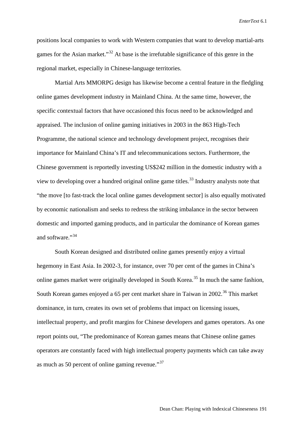positions local companies to work with Western companies that want to develop martial-arts games for the Asian market."<sup>[32](#page-18-29)</sup> At base is the irrefutable significance of this genre in the regional market, especially in Chinese-language territories.

Martial Arts MMORPG design has likewise become a central feature in the fledgling online games development industry in Mainland China. At the same time, however, the specific contextual factors that have occasioned this focus need to be acknowledged and appraised. The inclusion of online gaming initiatives in 2003 in the 863 High-Tech Programme, the national science and technology development project, recognises their importance for Mainland China's IT and telecommunications sectors. Furthermore, the Chinese government is reportedly investing US\$242 million in the domestic industry with a view to developing over a hundred original online game titles.<sup>[33](#page-18-30)</sup> Industry analysts note that "the move [to fast-track the local online games development sector] is also equally motivated by economic nationalism and seeks to redress the striking imbalance in the sector between domestic and imported gaming products, and in particular the dominance of Korean games and software."<sup>[34](#page-18-31)</sup>

South Korean designed and distributed online games presently enjoy a virtual hegemony in East Asia. In 2002-3, for instance, over 70 per cent of the games in China's online games market were originally developed in South Korea.<sup>[35](#page-18-32)</sup> In much the same fashion, South Korean games enjoyed a 65 per cent market share in Taiwan in 2002.<sup>[36](#page-18-33)</sup> This market dominance, in turn, creates its own set of problems that impact on licensing issues, intellectual property, and profit margins for Chinese developers and games operators. As one report points out, "The predominance of Korean games means that Chinese online games operators are constantly faced with high intellectual property payments which can take away as much as 50 percent of online gaming revenue."[37](#page-18-34)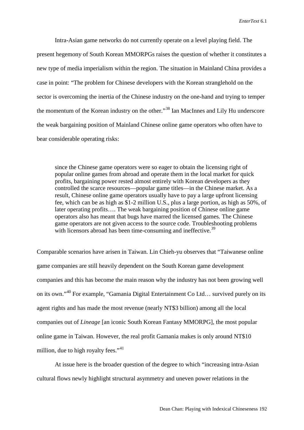Intra-Asian game networks do not currently operate on a level playing field. The present hegemony of South Korean MMORPGs raises the question of whether it constitutes a new type of media imperialism within the region. The situation in Mainland China provides a case in point: "The problem for Chinese developers with the Korean stranglehold on the sector is overcoming the inertia of the Chinese industry on the one-hand and trying to temper the momentum of the Korean industry on the other."[38](#page-18-35) Ian MacInnes and Lily Hu underscore the weak bargaining position of Mainland Chinese online game operators who often have to bear considerable operating risks:

since the Chinese game operators were so eager to obtain the licensing right of popular online games from abroad and operate them in the local market for quick profits, bargaining power rested almost entirely with Korean developers as they controlled the scarce resources—popular game titles—in the Chinese market. As a result, Chinese online game operators usually have to pay a large upfront licensing fee, which can be as high as \$1-2 million U.S., plus a large portion, as high as 50%, of later operating profits…. The weak bargaining position of Chinese online game operators also has meant that bugs have marred the licensed games. The Chinese game operators are not given access to the source code. Troubleshooting problems with licensors abroad has been time-consuming and ineffective.<sup>[39](#page-18-36)</sup>

Comparable scenarios have arisen in Taiwan. Lin Chieh-yu observes that "Taiwanese online game companies are still heavily dependent on the South Korean game development companies and this has become the main reason why the industry has not been growing well on its own."[40](#page-18-0) For example, "Gamania Digital Entertainment Co Ltd… survived purely on its agent rights and has made the most revenue (nearly NT\$3 billion) among all the local companies out of *Lineage* [an iconic South Korean Fantasy MMORPG], the most popular online game in Taiwan. However, the real profit Gamania makes is only around NT\$10 million, due to high royalty fees." $41$ 

At issue here is the broader question of the degree to which "increasing intra-Asian cultural flows newly highlight structural asymmetry and uneven power relations in the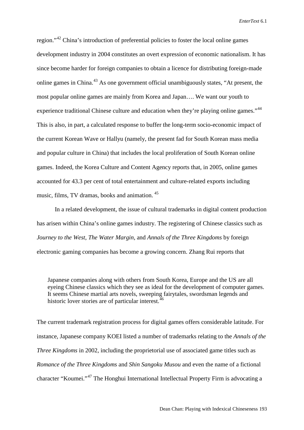region."[42](#page-18-2) China's introduction of preferential policies to foster the local online games development industry in 2004 constitutes an overt expression of economic nationalism. It has since become harder for foreign companies to obtain a licence for distributing foreign-made online games in China.<sup>[43](#page-18-37)</sup> As one government official unambiguously states, "At present, the most popular online games are mainly from Korea and Japan…. We want our youth to experience traditional Chinese culture and education when they're playing online games."<sup>[44](#page-18-3)</sup> This is also, in part, a calculated response to buffer the long-term socio-economic impact of the current Korean Wave or Hallyu (namely, the present fad for South Korean mass media and popular culture in China) that includes the local proliferation of South Korean online games. Indeed, the Korea Culture and Content Agency reports that, in 2005, online games accounted for 43.3 per cent of total entertainment and culture-related exports including music, films, TV dramas, books and animation. [45](#page-18-4)

In a related development, the issue of cultural trademarks in digital content production has arisen within China's online games industry. The registering of Chinese classics such as *Journey to the West*, *The Water Margin*, and *Annals of the Three Kingdoms* by foreign electronic gaming companies has become a growing concern. Zhang Rui reports that

Japanese companies along with others from South Korea, Europe and the US are all eyeing Chinese classics which they see as ideal for the development of computer games. It seems Chinese martial arts novels, sweeping fairytales, swordsman legends and historic lover stories are of particular interest.<sup>[46](#page-18-38)</sup>

The current trademark registration process for digital games offers considerable latitude. For instance, Japanese company KOEI listed a number of trademarks relating to the *Annals of the Three Kingdoms* in 2002, including the proprietorial use of associated game titles such as *Romance of the Three Kingdoms* and *Shin Sangoku Musou* and even the name of a fictional character "Koumei."[47](#page-18-9) The Honghui International Intellectual Property Firm is advocating a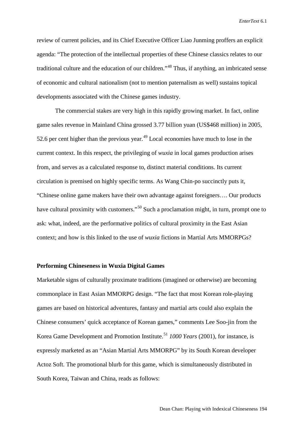review of current policies, and its Chief Executive Officer Liao Junming proffers an explicit agenda: "The protection of the intellectual properties of these Chinese classics relates to our traditional culture and the education of our children."[48](#page-18-39) Thus, if anything, an imbricated sense of economic and cultural nationalism (not to mention paternalism as well) sustains topical developments associated with the Chinese games industry.

The commercial stakes are very high in this rapidly growing market. In fact, online game sales revenue in Mainland China grossed 3.77 billion yuan (US\$468 million) in 2005, 52.6 per cent higher than the previous year.<sup>[49](#page-18-10)</sup> Local economies have much to lose in the current context. In this respect, the privileging of *wuxia* in local games production arises from, and serves as a calculated response to, distinct material conditions. Its current circulation is premised on highly specific terms. As Wang Chin-po succinctly puts it, "Chinese online game makers have their own advantage against foreigners…. Our products have cultural proximity with customers."<sup>[50](#page-18-40)</sup> Such a proclamation might, in turn, prompt one to ask: what, indeed, are the performative politics of cultural proximity in the East Asian context; and how is this linked to the use of *wuxia* fictions in Martial Arts MMORPGs?

### **Performing Chineseness in Wuxia Digital Games**

Marketable signs of culturally proximate traditions (imagined or otherwise) are becoming commonplace in East Asian MMORPG design. "The fact that most Korean role-playing games are based on historical adventures, fantasy and martial arts could also explain the Chinese consumers' quick acceptance of Korean games," comments Lee Soo-jin from the Korea Game Development and Promotion Institute.[51](#page-18-12) *1000 Years* (2001), for instance, is expressly marketed as an "Asian Martial Arts MMORPG" by its South Korean developer Actoz Soft. The promotional blurb for this game, which is simultaneously distributed in South Korea, Taiwan and China, reads as follows: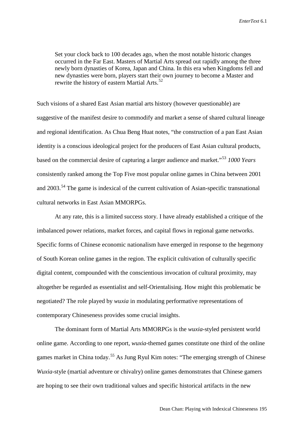Set your clock back to 100 decades ago, when the most notable historic changes occurred in the Far East. Masters of Martial Arts spread out rapidly among the three newly born dynasties of Korea, Japan and China. In this era when Kingdoms fell and new dynasties were born, players start their own journey to become a Master and rewrite the history of eastern Martial Arts.<sup>[52](#page-18-13)</sup>

Such visions of a shared East Asian martial arts history (however questionable) are suggestive of the manifest desire to commodify and market a sense of shared cultural lineage and regional identification. As Chua Beng Huat notes, "the construction of a pan East Asian identity is a conscious ideological project for the producers of East Asian cultural products, based on the commercial desire of capturing a larger audience and market."[53](#page-18-15) *1000 Years* consistently ranked among the Top Five most popular online games in China between 2001 and  $2003$ <sup> $54$ </sup>. The game is indexical of the current cultivation of Asian-specific transnational cultural networks in East Asian MMORPGs.

At any rate, this is a limited success story. I have already established a critique of the imbalanced power relations, market forces, and capital flows in regional game networks. Specific forms of Chinese economic nationalism have emerged in response to the hegemony of South Korean online games in the region. The explicit cultivation of culturally specific digital content, compounded with the conscientious invocation of cultural proximity, may altogether be regarded as essentialist and self-Orientalising. How might this problematic be negotiated? The role played by *wuxia* in modulating performative representations of contemporary Chineseness provides some crucial insights.

The dominant form of Martial Arts MMORPGs is the *wuxia*-styled persistent world online game. According to one report, *wuxia*-themed games constitute one third of the online games market in China today.<sup>[55](#page-18-42)</sup> As Jung Ryul Kim notes: "The emerging strength of Chinese *Wuxia*-style (martial adventure or chivalry) online games demonstrates that Chinese gamers are hoping to see their own traditional values and specific historical artifacts in the new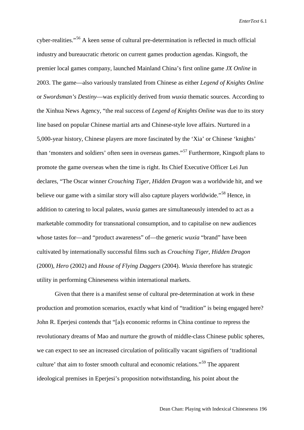cyber-realities."[56](#page-18-18) A keen sense of cultural pre-determination is reflected in much official industry and bureaucratic rhetoric on current games production agendas. Kingsoft, the premier local games company, launched Mainland China's first online game *JX Online* in 2003. The game—also variously translated from Chinese as either *Legend of Knights Online* or *Swordsman's Destiny*—was explicitly derived from *wuxia* thematic sources. According to the Xinhua News Agency, "the real success of *Legend of Knights Online* was due to its story line based on popular Chinese martial arts and Chinese-style love affairs. Nurtured in a 5,000-year history, Chinese players are more fascinated by the 'Xia' or Chinese 'knights' than 'monsters and soldiers' often seen in overseas games."[57](#page-18-43) Furthermore, Kingsoft plans to promote the game overseas when the time is right. Its Chief Executive Officer Lei Jun declares, "The Oscar winner *Crouching Tiger, Hidden Dragon* was a worldwide hit, and we believe our game with a similar story will also capture players worldwide."<sup>[58](#page-18-44)</sup> Hence, in addition to catering to local palates, *wuxia* games are simultaneously intended to act as a marketable commodity for transnational consumption, and to capitalise on new audiences whose tastes for—and "product awareness" of—the generic *wuxia* "brand" have been cultivated by internationally successful films such as *Crouching Tiger, Hidden Dragon*  (2000), *Hero* (2002) and *House of Flying Daggers* (2004). *Wuxia* therefore has strategic utility in performing Chineseness within international markets.

Given that there is a manifest sense of cultural pre-determination at work in these production and promotion scenarios, exactly what kind of "tradition" is being engaged here? John R. Eperjesi contends that "[a]s economic reforms in China continue to repress the revolutionary dreams of Mao and nurture the growth of middle-class Chinese public spheres, we can expect to see an increased circulation of politically vacant signifiers of 'traditional culture' that aim to foster smooth cultural and economic relations."[59](#page-18-45) The apparent ideological premises in Eperjesi's proposition notwithstanding, his point about the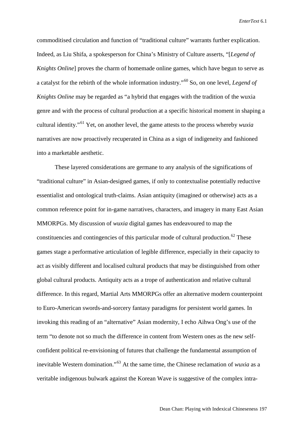commoditised circulation and function of "traditional culture" warrants further explication. Indeed, as Liu Shifa, a spokesperson for China's Ministry of Culture asserts, "[*Legend of Knights Online*] proves the charm of homemade online games, which have begun to serve as a catalyst for the rebirth of the whole information industry."[60](#page-18-46) So, on one level, *Legend of Knights Online* may be regarded as "a hybrid that engages with the tradition of the wuxia genre and with the process of cultural production at a specific historical moment in shaping a cultural identity."[61](#page-18-47) Yet, on another level, the game attests to the process whereby *wuxia* narratives are now proactively recuperated in China as a sign of indigeneity and fashioned into a marketable aesthetic.

These layered considerations are germane to any analysis of the significations of "traditional culture" in Asian-designed games, if only to contextualise potentially reductive essentialist and ontological truth-claims. Asian antiquity (imagined or otherwise) acts as a common reference point for in-game narratives, characters, and imagery in many East Asian MMORPGs. My discussion of *wuxia* digital games has endeavoured to map the constituencies and contingencies of this particular mode of cultural production.<sup>[62](#page-18-48)</sup> These games stage a performative articulation of legible difference, especially in their capacity to act as visibly different and localised cultural products that may be distinguished from other global cultural products. Antiquity acts as a trope of authentication and relative cultural difference. In this regard, Martial Arts MMORPGs offer an alternative modern counterpoint to Euro-American swords-and-sorcery fantasy paradigms for persistent world games. In invoking this reading of an "alternative" Asian modernity, I echo Aihwa Ong's use of the term "to denote not so much the difference in content from Western ones as the new selfconfident political re-envisioning of futures that challenge the fundamental assumption of inevitable Western domination."[63](#page-18-49) At the same time, the Chinese reclamation of *wuxia* as a veritable indigenous bulwark against the Korean Wave is suggestive of the complex intra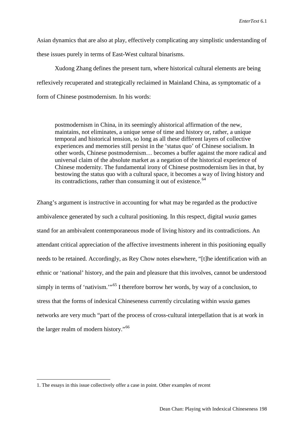Asian dynamics that are also at play, effectively complicating any simplistic understanding of these issues purely in terms of East-West cultural binarisms.

Xudong Zhang defines the present turn, where historical cultural elements are being reflexively recuperated and strategically reclaimed in Mainland China, as symptomatic of a form of Chinese postmodernism. In his words:

postmodernism in China, in its seemingly ahistorical affirmation of the new, maintains, not eliminates, a unique sense of time and history or, rather, a unique temporal and historical tension, so long as all these different layers of collective experiences and memories still persist in the 'status quo' of Chinese socialism. In other words, Chinese postmodernism… becomes a buffer against the more radical and universal claim of the absolute market as a negation of the historical experience of Chinese modernity. The fundamental irony of Chinese postmodernism lies in that, by bestowing the status quo with a cultural space, it becomes a way of living history and its contradictions, rather than consuming it out of existence.<sup>[64](#page-18-50)</sup>

Zhang's argument is instructive in accounting for what may be regarded as the productive ambivalence generated by such a cultural positioning. In this respect, digital *wuxia* games stand for an ambivalent contemporaneous mode of living history and its contradictions. An attendant critical appreciation of the affective investments inherent in this positioning equally needs to be retained. Accordingly, as Rey Chow notes elsewhere, "[t]he identification with an ethnic or 'national' history, and the pain and pleasure that this involves, cannot be understood simply in terms of 'nativism."<sup>[65](#page-18-51)</sup> I therefore borrow her words, by way of a conclusion, to stress that the forms of indexical Chineseness currently circulating within *wuxia* games networks are very much "part of the process of cross-cultural interpellation that is at work in the larger realm of modern history."[66](#page-18-52)

 <sup>1.</sup> The essays in this issue collectively offer a case in point. Other examples of recent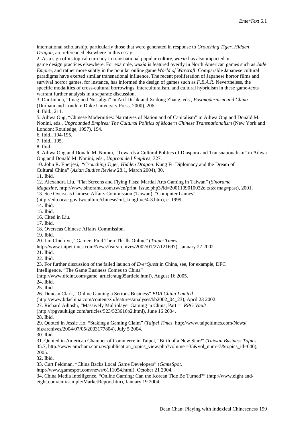international scholarship, particularly those that were generated in response to *Crouching Tiger, Hidden Dragon*, are referenced elsewhere in this essay.

<span id="page-17-1"></span>2. As a sign of its topical currency in transnational popular culture, *wuxia* has also impacted on game design practices elsewhere. For example, *wuxia* is featured overtly in North American games such as *Jade Empire*, and rather more subtly in the popular online game *World of Warcraft*. Comparable Japanese cultural paradigms have exerted similar transnational influence. The recent proliferation of Japanese horror films and survival horror games, for instance, has informed the design of games such as *F.E.A.R*. Nevertheless, the specific modalities of cross-cultural borrowings, interculturalism, and cultural hybridism in these game-texts warrant further analysis in a separate discussion.

3. Dai Jinhua, "Imagined Nostalgia" in Arif Dirlik and Xudong Zhang, eds., *Postmodernism and China* (Durham and London: Duke University Press, 2000), 206.

4. Ibid., 211.

 $\overline{a}$ 

5. Aihwa Ong, "Chinese Modernities: Narratives of Nation and of Capitalism" in Aihwa Ong and Donald M. Nonini, eds., *Ungrounded Empires: The Cultural Politics of Modern Chinese Transnationalism* (New York and London: Routledge, 1997), 194.

6. Ibid., 194-195.

7. Ibid., 195.

8. Ibid.

9. Aihwa Ong and Donald M. Nonini, "Towards a Cultural Politics of Diaspora and Transnationalism" in Aihwa Ong and Donald M. Nonini, eds., *Ungrounded Empires*, 327.

10. John R. Eperjesi, "*Crouching Tiger, Hidden Dragon*: Kung Fu Diplomacy and the Dream of Cultural China" (*Asian Studies Review* 28.1, March 2004), 30.

11. Ibid.

12. Alexandra Liu, "Flat Screens and Flying Fists: Martial Arts Gaming in Taiwan" (*Sinorama* 

*Magazine,* http://www.sinorama.com.tw/en/print\_issue.php3?id=2001109010032e.txt& mag=past), 2001.

13. See Overseas Chinese Affairs Commission (Taiwan), "Computer Games"

(http://edu.ocac.gov.tw/culture/chinese/cul\_kungfu/e/4-3.htm), c. 1999.

14. Ibid.

15. Ibid.

16. Cited in Liu.

17. Ibid.

18. Overseas Chinese Affairs Commission.

19. Ibid.

20. Lin Chieh-yu, "Gamers Find Their Thrills Online" (*Taipei Times,*

http://www.taipeitimes.com/News/feat/archives/2002/01/27/121697), January 27 2002.

21. Ibid.

22. Ibid.

23. For further discussion of the failed launch of *EverQuest* in China, see, for example, DFC

Intelligence, "The Game Business Comes to China"

(http://www.dfcint.com/game\_article/aug05article.html), August 16 2005.

24. Ibid.

25. Ibid.

26. Duncan Clark, "Online Gaming a Serious Business" *BDA China Limited*

(http://www.bdachina.com/content/zh/features/analyses/bb2002\_04\_23), April 23 2002.

27. Richard Aihoshi, "Massively Multiplayer Gaming in China, Part 1" *RPG Vault*

(http://rpgvault.ign.com/articles/523/523616p2.html), June 16 2004.

28. Ibid.

29. Quoted in Jessie Ho, "Staking a Gaming Claim" (*Taipei Times,* <http://www.taipeitimes.com/News/> biz/archives/2004/07/05/2003177804), July 5 2004.

30. Ibid.

31. Quoted in American Chamber of Commerce in Taipei, "Birth of a New Star?" (*Taiwan Business Topics*

35.7, http://www.amcham.com.tw/publication\_topics\_view.php?volume =35&vol\_num=7&topics\_id=646), 2005.

32. Ibid.

33. Curt Feldman, "China Backs Local Game Developers" (*GameSpot,*

http://www.gamespot.com/news/6111054.html), October 21 2004.

<span id="page-17-0"></span>34. China Media Intelligence, "Online Gaming: Can the Korean Tide Be Turned?" [\(http://www.eight](http://www.eight/) andeight.com/cmi/sample/MarketReport.htm), January 19 2004.